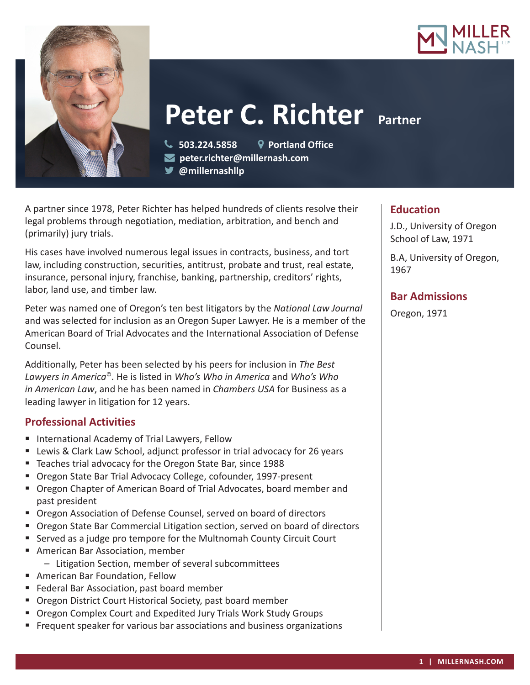



# **Peter C. Richter Partner**

**503.224.5858 Portland Office**

**peter.richter@millernash.com** 

A partner since 1978, Peter Richter has helped hundreds of clients resolve their legal problems through negotiation, mediation, arbitration, and bench and (primarily) jury trials.

**@millernashllp** 

His cases have involved numerous legal issues in contracts, business, and tort law, including construction, securities, antitrust, probate and trust, real estate, insurance, personal injury, franchise, banking, partnership, creditors' rights, labor, land use, and timber law.

Peter was named one of Oregon's ten best litigators by the *National Law Journal*  and was selected for inclusion as an Oregon Super Lawyer. He is a member of the American Board of Trial Advocates and the International Association of Defense Counsel.

Additionally, Peter has been selected by his peers for inclusion in *The Best Lawyers in America*©. He is listed in *Who's Who in America* and *Who's Who in American Law*, and he has been named in *Chambers USA* for Business as a leading lawyer in litigation for 12 years.

# **Professional Activities**

- **International Academy of Trial Lawyers, Fellow**
- Lewis & Clark Law School, adjunct professor in trial advocacy for 26 years
- Teaches trial advocacy for the Oregon State Bar, since 1988
- Oregon State Bar Trial Advocacy College, cofounder, 1997-present
- Oregon Chapter of American Board of Trial Advocates, board member and past president
- **Oregon Association of Defense Counsel, served on board of directors**
- **Dimes Brand** State Bar Commercial Litigation section, served on board of directors
- Served as a judge pro tempore for the Multnomah County Circuit Court
- American Bar Association, member
	- Litigation Section, member of several subcommittees
- American Bar Foundation, Fellow
- **Federal Bar Association, past board member**
- **Oregon District Court Historical Society, past board member**
- Oregon Complex Court and Expedited Jury Trials Work Study Groups
- **FIF** Frequent speaker for various bar associations and business organizations

## **Education**

J.D., University of Oregon School of Law, 1971

B.A, University of Oregon, 1967

# **Bar Admissions**

Oregon, 1971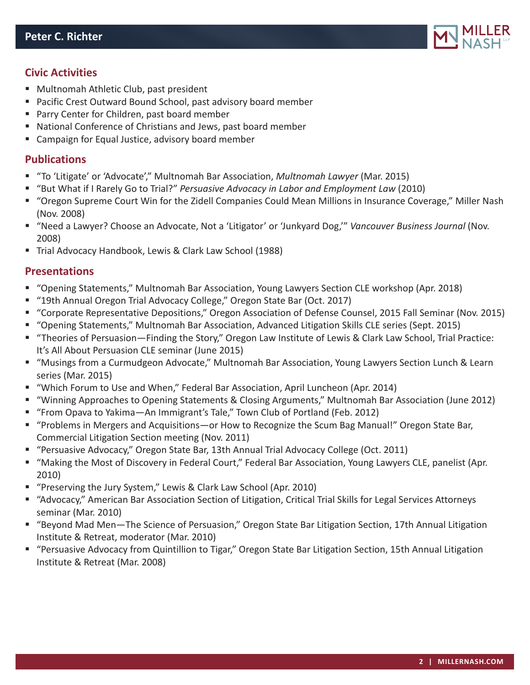

### **Civic Activities**

- Multnomah Athletic Club, past president
- Pacific Crest Outward Bound School, past advisory board member
- **Parry Center for Children, past board member**
- National Conference of Christians and Jews, past board member
- Campaign for Equal Justice, advisory board member

#### **Publications**

- "To 'Litigate' or 'Advocate'," Multnomah Bar Association, *Multnomah Lawyer* (Mar. 2015)
- "But What if I Rarely Go to Trial?" *Persuasive Advocacy in Labor and Employment Law* (2010)
- "Oregon Supreme Court Win for the Zidell Companies Could Mean Millions in Insurance Coverage," Miller Nash (Nov. 2008)
- "Need a Lawyer? Choose an Advocate, Not a 'Litigator' or 'Junkyard Dog,'" *Vancouver Business Journal* (Nov. 2008)
- Trial Advocacy Handbook, Lewis & Clark Law School (1988)

#### **Presentations**

- "Opening Statements," Multnomah Bar Association, Young Lawyers Section CLE workshop (Apr. 2018)
- "19th Annual Oregon Trial Advocacy College," Oregon State Bar (Oct. 2017)
- "Corporate Representative Depositions," Oregon Association of Defense Counsel, 2015 Fall Seminar (Nov. 2015)
- "Opening Statements," Multnomah Bar Association, Advanced Litigation Skills CLE series (Sept. 2015)
- "Theories of Persuasion—Finding the Story," Oregon Law Institute of Lewis & Clark Law School, Trial Practice: It's All About Persuasion CLE seminar (June 2015)
- "Musings from a Curmudgeon Advocate," Multnomah Bar Association, Young Lawyers Section Lunch & Learn series (Mar. 2015)
- "Which Forum to Use and When," Federal Bar Association, April Luncheon (Apr. 2014)
- "Winning Approaches to Opening Statements & Closing Arguments," Multnomah Bar Association (June 2012)
- "From Opava to Yakima—An Immigrant's Tale," Town Club of Portland (Feb. 2012)
- "Problems in Mergers and Acquisitions—or How to Recognize the Scum Bag Manual!" Oregon State Bar, Commercial Litigation Section meeting (Nov. 2011)
- "Persuasive Advocacy," Oregon State Bar, 13th Annual Trial Advocacy College (Oct. 2011)
- "Making the Most of Discovery in Federal Court," Federal Bar Association, Young Lawyers CLE, panelist (Apr. 2010)
- "Preserving the Jury System," Lewis & Clark Law School (Apr. 2010)
- "Advocacy," American Bar Association Section of Litigation, Critical Trial Skills for Legal Services Attorneys seminar (Mar. 2010)
- "Beyond Mad Men-The Science of Persuasion," Oregon State Bar Litigation Section, 17th Annual Litigation Institute & Retreat, moderator (Mar. 2010)
- "Persuasive Advocacy from Quintillion to Tigar," Oregon State Bar Litigation Section, 15th Annual Litigation Institute & Retreat (Mar. 2008)